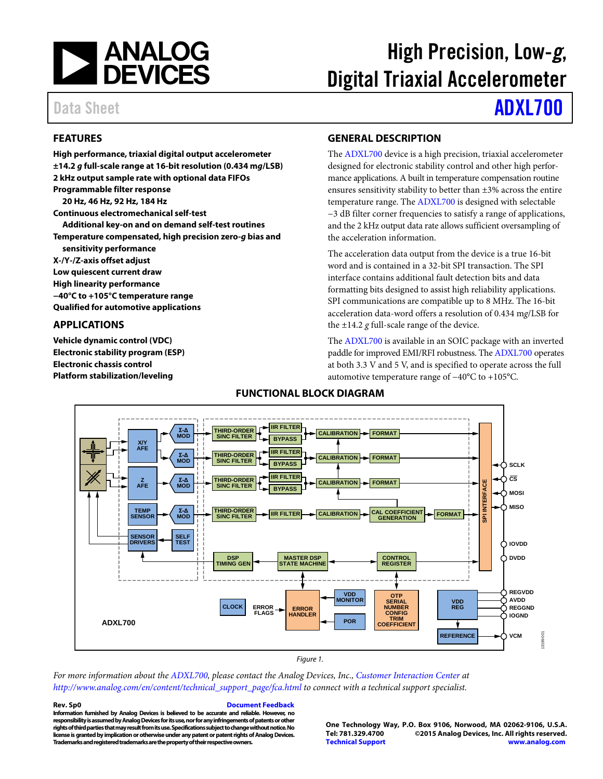

# High Precision, Low-*g*, Digital Triaxial Accelerometer

### Data Sheet **[ADXL700](http://www.analog.com/ADXL700?doc=ADXL700.pdf)**

### **FEATURES**

**High performance, triaxial digital output accelerometer ±14.2** *g* **full-scale range at 16-bit resolution (0.434 m***g***/LSB) 2 kHz output sample rate with optional data FIFOs Programmable filter response 20 Hz, 46 Hz, 92 Hz, 184 Hz Continuous electromechanical self-test Additional key-on and on demand self-test routines Temperature compensated, high precision zero-***g* **bias and sensitivity performance X-/Y-/Z-axis offset adjust Low quiescent current draw High linearity performance −40°C to +105°C temperature range Qualified for automotive applications**

#### **APPLICATIONS**

**Vehicle dynamic control (VDC) Electronic stability program (ESP) Electronic chassis control Platform stabilization/leveling**

#### **GENERAL DESCRIPTION**

The [ADXL700](http://www.analog.com/ADXL700?doc=ADXL700.pdf) device is a high precision, triaxial accelerometer designed for electronic stability control and other high performance applications. A built in temperature compensation routine ensures sensitivity stability to better than ±3% across the entire temperature range. The [ADXL700](http://www.analog.com/ADXL700?doc=ADXL700.pdf) is designed with selectable −3 dB filter corner frequencies to satisfy a range of applications, and the 2 kHz output data rate allows sufficient oversampling of the acceleration information.

The acceleration data output from the device is a true 16-bit word and is contained in a 32-bit SPI transaction. The SPI interface contains additional fault detection bits and data formatting bits designed to assist high reliability applications. SPI communications are compatible up to 8 MHz. The 16-bit acceleration data-word offers a resolution of 0.434 m*g*/LSB for the  $\pm$ 14.2  $g$  full-scale range of the device.

The [ADXL700](http://www.analog.com/ADXL700?doc=ADXL700.pdf) is available in an SOIC package with an inverted paddle for improved EMI/RFI robustness. Th[e ADXL700](http://www.analog.com/ADXL700?doc=ADXL700.pdf) operates at both 3.3 V and 5 V, and is specified to operate across the full automotive temperature range of −40°C to +105°C.



#### **FUNCTIONAL BLOCK DIAGRAM**

*For more information about the [ADXL700,](http://www.analog.com/ADXL700?doc=ADXL700.pdf) please contact the Analog Devices, Inc.[, Customer Interaction Center](http://www.analog.com/en/content/technical_support_page/fca.html) at [http://www.analog.com/en/content/technical\\_support\\_page/fca.html](http://www.analog.com/en/content/technical_support_page/fca.html) to connect with a technical support specialist.*

**Rev. Sp0 [Document Feedback](https://form.analog.com/Form_Pages/feedback/documentfeedback.aspx?doc=ADXL700.pdf&product=ADXL700&rev=Sp0) Information furnished by Analog Devices is believed to be accurate and reliable. However, no**  responsibility is assumed by Analog Devices for its use, nor for any infringements of patents or other **rights of third parties that may result from its use. Specifications subject to change without notice. No license is granted by implication or otherwise under any patent or patent rights of Analog Devices. Trademarks and registered trademarks are the property of their respective owners.**

**One Technology Way, P.O. Box 9106, Norwood, MA 02062-9106, U.S.A. Tel: 781.329.4700 ©2015 Analog Devices, Inc. All rights reserved. [Technical Support](http://www.analog.com/en/content/technical_support_page/fca.html) [www.analog.com](http://www.analog.com/)**